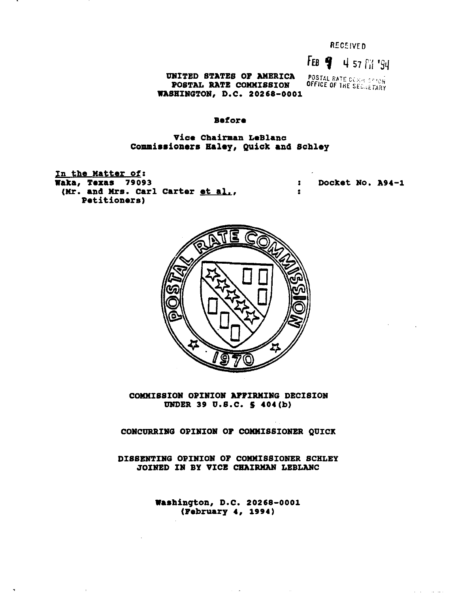RECEIVED

FEB **4 57 Fil '94**<br>POSTAL RATE COMM SERION<br>OFFICE OF THE SEGRETARY UNITED STATES OF AMERICA POSTAL RATE COMMISSION WASHINGTON, D.C. 20268-0001

#### Before

# Vice Chairman LeBlanc Commissioners Haley, QUick and Schley

In the Matter of: Waka, Texas 79093 (Mr. and Mrs. Carl Carter et al., Petitioners)

: : Docket No. A94-1



COMMISSION OPINION AFFIRMING DECISION UNDER 39 U.S.C. S 404(b)

CONCURRING OPINION OF COMMISSIONER QUICK

DISSENTING OPINION OF COMMISSIONER SCHLEY JOINED IN BY VICE CHAIRMAN LEBLANC

> Washington, D.C. 20268-0001 (February 4, 1994)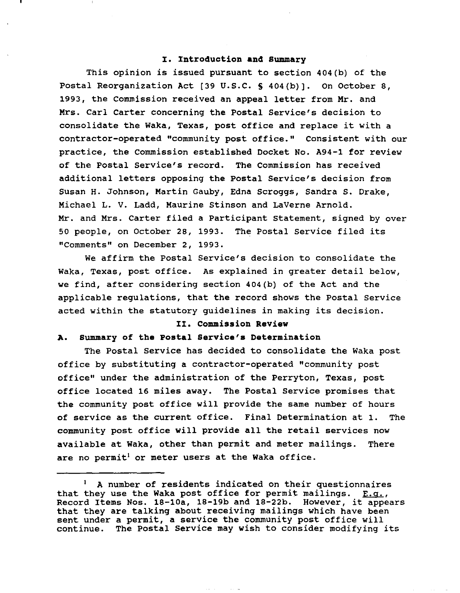#### **I. Introduction and Summary**

This opinion is issued pursuant to section 404(b) of the Postal Reorganization Act [39 U.S.C. § 404(b)]. On October 8. 1993, the Commission received an appeal letter from Mr. and Mrs. Carl Carter concerning the Postal Service's decision to consolidate the Waka, Texas, post office and replace it with <sup>a</sup> contractor-operated "community post office." Consistent with our practice, the commission established Docket No. A94-1 for review of the Postal Service's record. The Commission has received additional letters opposing the Postal Service's decision from Susan H. Johnson, Martin Gauby, Edna Scroggs, Sandra S. Drake, Michael L. V. Ladd, Maurine Stinson and LaVerne Arnold. Mr. and Mrs. Carter filed <sup>a</sup> Participant statement, signed by over <sup>50</sup> people, on October 2S, 1993. The Postal Service filed its "Comments" on December 2, 1993.

We affirm the Postal Service's decision to consolidate the Waka, Texas, post Office. As explained in greater detail below, we find, after considering section 404(b) of the Act and the applicable regulations, that the record shows the Postal Service acted within the statutory guidelines in making its decision.

### **II. Commission Review**

#### **A. Summary of the Postal Service's Determination**

The Postal Service has decided to consolidate the Waka post office by substituting a contractor-operated "community post office" under the administration of the Perryton, Texas, post office located 16 miles away. The Postal Service promises that the community post office will provide the same number of hours of service as the current office. Final Determination at 1. The community post office will provide all the retail services now available at Waka, other than permit and meter mailings. There are no permit<sup>1</sup> or meter users at the Waka office.

<sup>A</sup> number of residents indicated on their questionnaires that they use the Waka post office for permit mailings.  $E, q_{\perp}$ , Record Items Nos. 1S-10a, 1S-19b and 1S-22b. However, it appears that they are talking about receiving mailings which have been sent under a permit, a service the community post office will continue. The Postal service may wish to consider modifying its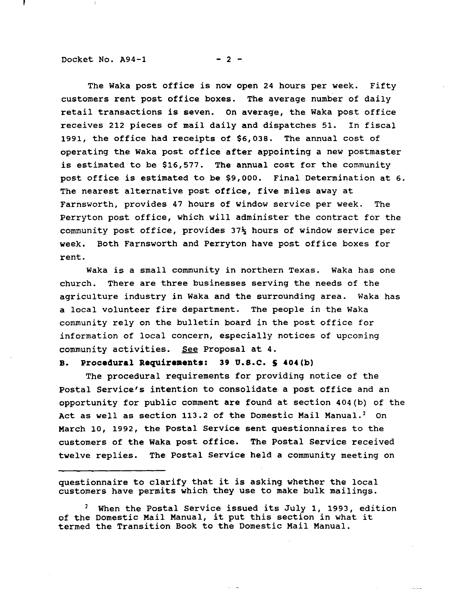Docket No.  $A94-1$  - 2 -

The Waka post office is now open <sup>24</sup> hours per week. Fifty customers rent post office boxes. The average number of daily retail transactions is seven. On average, the Waka post office receives 212 pieces of mail daily and dispatches 51. In fiscal 1991, the office had receipts of \$6,038. The annual cost of operating the Waka post office after appointing <sup>a</sup> new postmaster is estimated to be \$16,577. The annual cost for the community post office is estimated to be \$9,000. Final Determination at 6. The nearest alternative post office, five miles away at Farnsworth, provides 47 hours of window service per week. The perryton post office, which will administer the contract for the community post office, provides  $37\frac{1}{2}$  hours of window service per week. Both Farnsworth and Perryton have post office boxes for rent.

Waka is <sup>a</sup> small community in northern Texas. Waka has one church. There are three businesses serving the needs of the agriculture industry in Waka and the surrounding area. Waka has <sup>a</sup> local volunteer fire department. The people in the Waka community rely on the bulletin board in the post office for information of local concern, especially notices of upcoming community activities. See Proposal at 4.

# **B. Procedural Requirements: 39 U.S.C. S 404(b)**

The procedural requirements for providing notice of the Postal Service's intention to consolidate <sup>a</sup> post office and an opportunity for public comment are found at section 404(b) of the Act as well as section 113.2 of the Domestic Mail Manual.<sup>2</sup> On March 10, 1992, the Postal Service sent questionnaires to the customers of the Waka post office. The Postal Service received twelve replies. The Postal service held <sup>a</sup> community meeting on

questionnaire to clarify that it is asking whether the local customers have permits which they use to make bulk mailings.

2 when the Postal Service issued its July 1, 1993, ed.<br>of the Domestic Mail Manual, it put this section in what it termed the Transition Book to the Domestic Mail Manual.When the Postal Service issued its July **1,** 1993, edition

 $\sim$  0.000  $\sim$  0.000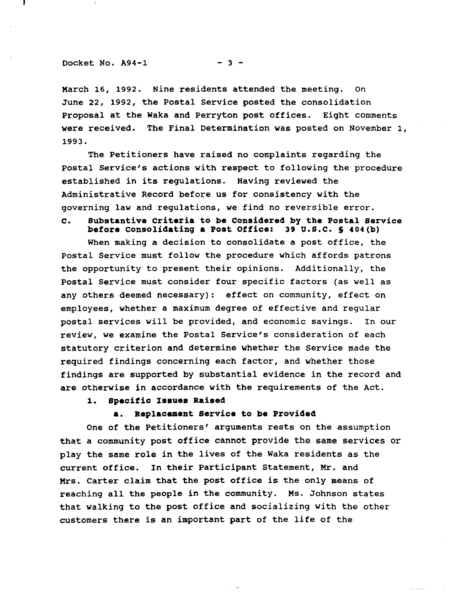$Docket No. A94-1$  - 3 -

March 16, 1992. Nine residents attended the meeting. On June 22, 1992, the Postal Service posted the consolidation proposal at the Waka and Perryton post offices. Eight comments were received. The Final Determination was posted on November 1, 1993.

The Petitioners have raised no complaints regarding the Postal Service's actions with respect to following the procedure established in its regulations. Having reviewed the Administrative Record before us for consistency with the governing law and requlations, we find no reversible error.

**C. Substantive criteria to be Considered by the Postal Service betore Consolidating a Post ottice: 39** U.S.C. **S 404(b)**

When making <sup>a</sup> decision to consolidate <sup>a</sup> post office, the Postal Service must follow the procedure which affords patrons the opportunity to present their opinions. Additionally, the Postal Service must consider four specific factors (as well as any others deemed necessary): effect on community, effect on employees, whether a maximum degree of effective and reqular postal services will be provided, and economic savings. In our review, we examine the Postal Service's consideration of each statutory criterion and determine whether the Service made the required findings concerning each factor, and whether those findings are supported by substantial evidence in the record and are otherwise in accordance with the requirements of the Act.

# **1. Specitic Issues Raised**

### **a. Replacement Service to be Provided**

One of the Petitioners' arguments rests on the assumption that <sup>a</sup> community post office cannot provide the same services or play the same role in the lives of the Waka residents as the current office. In their participant Statement, Mr. and Mrs. Carter claim that the post office is the only means of reaching all the people in the community. Ms. Johnson states that walking to the post office and socializing with the other customers there is an important part of the life of the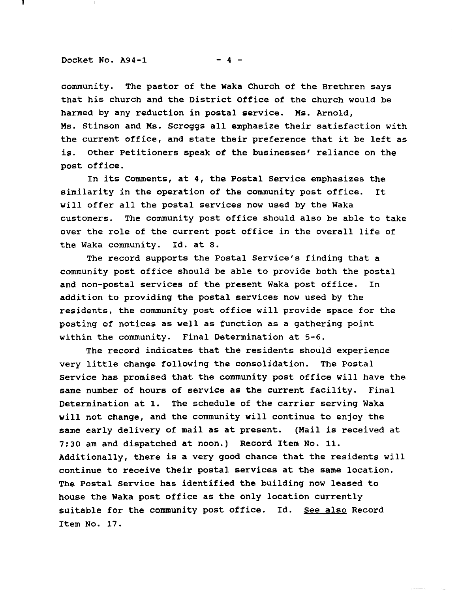#### Docket No.  $A94-1$  - 4 -

community. The pastor of the Waka Church of the Brethren says that his church and the District Office of the church would be harmed by any reduction in postal service. Ms. Arnold, Ms. Stinson and Ms. scroggs all emphasize their satisfaction with the current office, and state their preference that it be left as is. Other Petitioners speak of the businesses' reliance on the post office.

In its Comments, at 4, the Postal Service emphasizes the similarity in the operation of the community post office. It will offer all the postal services now used by the Waka customers. The community post office should also be able to take over the role of the current post office in the overall life of the Waka community. Id. at 8.

The record supports the Postal Service's finding that a community post office should be able to provide both the postal and non-postal services of the present Waka post office. In addition to providing the postal services now used by the residents, the community post office will provide space for the posting of notices as well as function as a gathering point within the community. Final Determination at 5-6.

The record indicates that the residents should experience very little change following the consolidation. The Postal service has promised that the community post office will have the same number of hours of service as the current facility. Final Determination at 1. The schedule of the carrier serving Waka will not change, and the community will continue to enjoy the same early delivery of mail as at present. (Mail is received at 7:30 am and dispatched at noon.) Record Item No. 11. Additionally, there is <sup>a</sup> very good chance that the residents will continue to receive their postal services at the same location. The Postal Service has identified the building now leased to house the Waka post office as the only location currently suitable for the community post office. Id. See also Record Item No. 17.

 $\ddot{\phantom{a}}$  . The maximum case of  $\ddot{\phantom{a}}$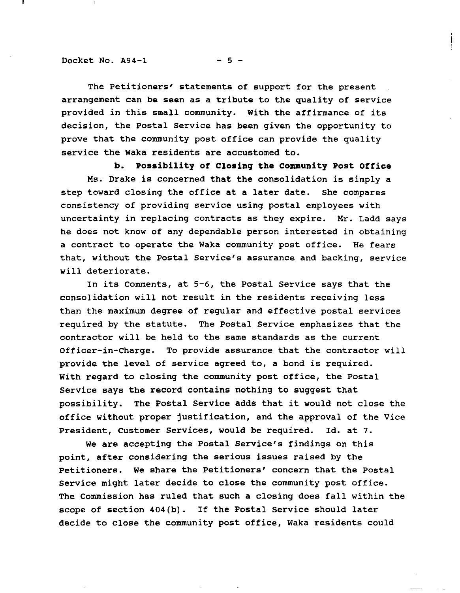Docket No.  $A94-1$  - 5 -

The Petitioners' statements of support for the present arrangement can be seen as <sup>a</sup> tribute to the quality of service provided in this small community. With the affirmance of its decision, the Postal Service has been given the opportunity to prove that the community post office can provide the quality service the Waka residents are accustomed to.

**b. Possibility of Closinq the community Post Office** Ms. Drake is concerned that the consolidation is simply <sup>a</sup> step toward closing the office at <sup>a</sup> later date. She compares consistency of providing service using postal employees with uncertainty in replacing contracts as they expire. Mr. Ladd says he does not know of any dependable person interested in obtaining a contract to operate the Waka community post office. He fears that, without the Postal Service's assurance and backing, service will deteriorate.

In its Comments, at 5-6, the Postal Service says that the consolidation will not result in the residents receiving less than the maximum degree of regular and effective postal services required by the statute. The Postal Service emphasizes that the contractor will be held to the same standards as the current Officer-in-Charge. To provide assurance that the contractor will provide the level of service agreed to, <sup>a</sup> bond is required. with regard to closing the community post office, the Postal Service says the record contains nothing to suggest that possibility. The Postal Service adds that it would not close the office without proper justification, and the approval of the Vice President, Customer Services, would be required. Id. at 7.

We are accepting the Postal Service's findings on this point, after considering the serious issues raised by the Petitioners. We share the Petitioners' concern that the Postal Service might later decide to close the community post office. The Commission has rUled that such <sup>a</sup> closing does fall within the scope of section 404(b). If the Postal Service should later decide to close the community post office, Waka residents could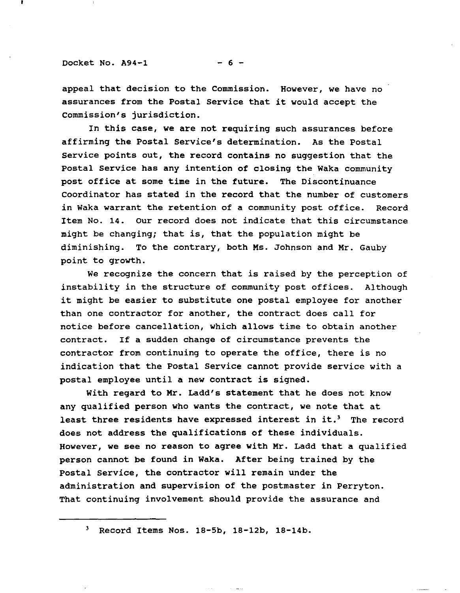Docket No.  $A94-1$  - 6 -

appeal that decision to the Commission. However, we have no assurances from the Postal Service that it would accept the Commission's jurisdiction.

In this case, we are not requiring such assurances before affirming the Postal Service's determination. As the Postal Service points out, the record contains no suggestion that the Postal Service has any intention of closing the Waka community post office at some time in the future. The Discontinuance Coordinator has stated in the record that the number of customers in Waka warrant the retention of a community post office. Record Item No. 14. Our record does not indicate that this circumstance might be changing; that is, that the population might be diminishing. To the contrary, both Ms. Johnson and Mr. Gauby point to growth.

We recognize the concern that is raised by the perception of instability in the structure of community post offices. Although it might be easier to substitute one postal employee for another than one contractor for another, the contract does call for notice before cancellation, which allows time to obtain another contract. If <sup>a</sup> sudden change of circumstance prevents the contractor from continuing to operate the office, there is no indication that the Postal Service cannot provide service with a postal employee until a new contract is signed.

With regard to Mr. Ladd's statement that he does not know any qualified person who wants the contract, we note that at least three residents have expressed interest in it.<sup>3</sup> The record does not address the qualifications of these individuals. However, we see no reason to agree with Mr. Ladd that a qualified person cannot be found in Waka. After being trained by the Postal service, the contractor will remain under the administration and supervision of the postmaster in Perryton. That continuing involvement should provide the assurance and

<sup>3</sup> Record Items Nos. 18-5b, 18-12b, 18-14b.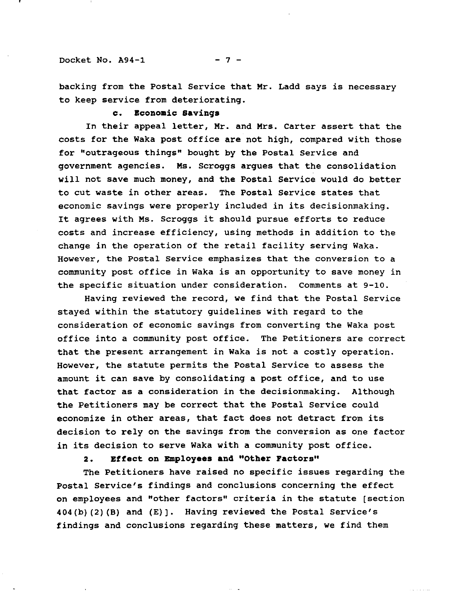#### Docket No.  $A94-1$  - 7 -

backing from the Postal Service that Mr. Ladd says is necessary to keep service from deteriorating.

### **c. Economic savings**

In their appeal letter, Mr. and Mrs. Carter assert that the costs for the Waka post office are not high, compared with those for "outrageous things" bought by the Postal service and government agencies. Ms. Scroggs argues that the consolidation will not save much money, and the Postal Service would do better to cut waste in other areas. The Postal Service states that economic savings were properly included in its decisionmaking. It agrees with Ms. Scroggs it should pursue efforts to reduce costs and increase efficiency, using methods in addition to the change in the operation of the retail facility serving Waka. However, the Postal Service emphasizes that the conversion to <sup>a</sup> community post office in Waka is an opportunity to save money in the specific situation under consideration. Comments at 9-10.

Having reviewed the record, we find that the Postal Service stayed within the statutory guidelines with regard to the consideration of economic savings from converting the Waka post office into a community post office. The Petitioners are correct that the present arrangement in Waka is not <sup>a</sup> costly operation. However, the statute permits the Postal Service to assess the amount it can save by consolidating <sup>a</sup> post office, and to use that factor as <sup>a</sup> consideration in the decisionmaking. Although the Petitioners may be correct that the Postal Service could economize in other areas, that fact does not detract from its decision to rely on the savings from the conversion as one factor in its decision to serve Waka with <sup>a</sup> community post office.

### **2. Effect on BIIIployees and "Other Factors"**

The Petitioners have raised no specific issues regarding the Postal Service's findings and conclusions concerning the effect on employees and "other factors" criteria in the statute [section 404(b) (2) (B) and (E)). Having reviewed the Postal Service's findings and conclusions regarding these matters, we find them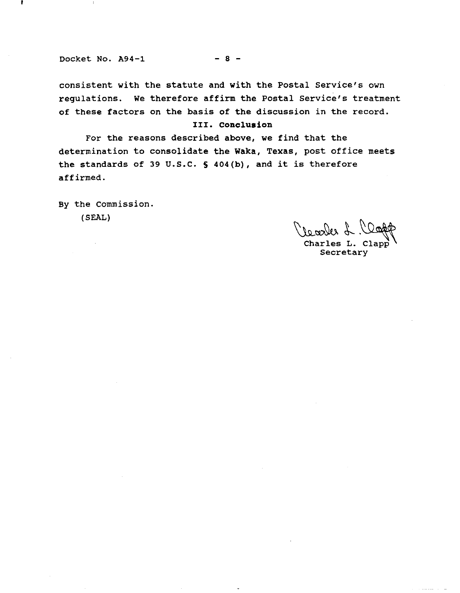Docket No.  $A94-1$  - 8 -

consistent with the statute and with the Postal Service's own regulations. We therefore affirm the Postal Service's treatment of these factors on the basis of the discussion in the record.

## **III. Conclusion**

For the reasons described above, we find that the determination to consolidate the waka, Texas, post office meets the standards of <sup>39</sup> U.S.C. <sup>S</sup> 404(b), and it is therefore affirmed.

By the Commission. (SEAL)

Learles L. Clapp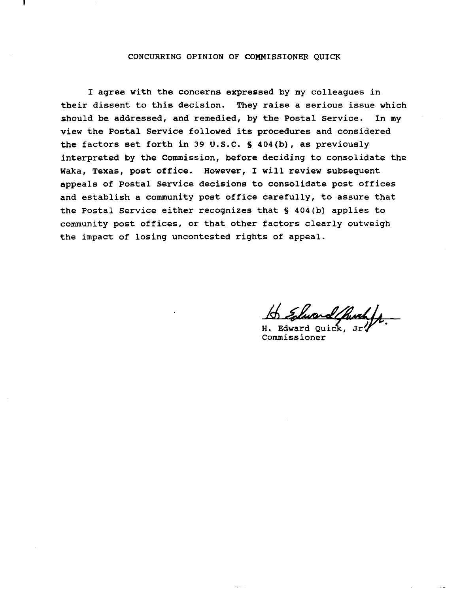#### CONCURRING OPINION OF COMMISSIONER QUICK

I agree with the concerns expressed by my colleagues in their dissent to this decision. They raise <sup>a</sup> serious issue which should be addressed, and remedied, by the Postal Service. In my view the Postal Service followed its procedures and considered the factors set forth in <sup>39</sup> U.S.C. S 404(b), as previously interpreted by the Commission, before deciding to consolidate the Waka, Texas, post office. However, <sup>I</sup> will review subsequent appeals of Postal Service decisions to consolidate post offices and establish <sup>a</sup> community post office carefully, to assure that the Postal Service either recognizes that § 404(b) applies to community post offices, or that other factors clearly outweigh the impact of losing uncontested rights of appeal.

He Elward Chuch fr.

Commissioner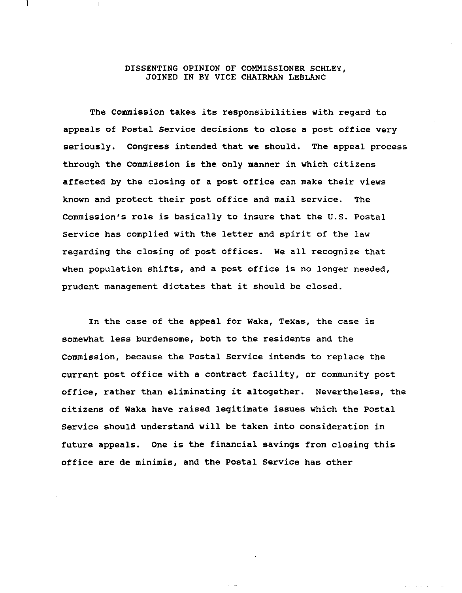## DISSENTING OPINION OF COMMISSIONER SCHLEY, JOINED IN BY VICE CHAIRMAN LEBLANC

The Commission takes its responsibilities with regard to appeals of Postal Service decisions to close a post office very seriously. Congress intended that we should. The appeal process through the Commission is the only manner in which citizens affected by the closing of a post office can make their views known and protect their post office and mail service. The Commission's role is basically to insure that the U.S. Postal Service has complied with the letter and spirit of the law regarding the closing of post offices. We all recognize that when population shifts, and a post office is no longer needed, prudent management dictates that it should be closed.

In the case of the appeal for waka, Texas, the case is somewhat less burdensome, both to the residents and the Commission, because the Postal Service intends to replace the current post office with a contract facility, or community post office, rather than eliminating it altogether. Nevertheless, the citizens of Waka have raised legitimate issues which the Postal Service should understand will be taken into consideration in future appeals. One is the financial savings from closing this office are de minimis, and the Postal Service has other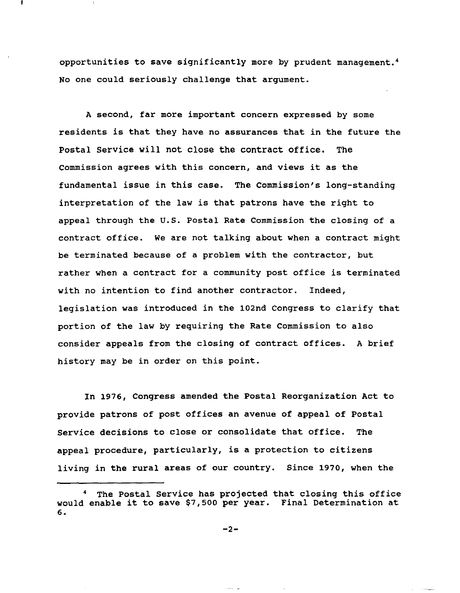opportunities to save significantly more by prudent management. <sup>4</sup> No one could seriously challenge that argument.

A second, far more important concern expressed by some residents is that they have no assurances that in the future the Postal Service will not close the contract office. The commission agrees with this concern, and views it as the fundamental issue in this case. The Commission's long-standing interpretation of the law is that patrons have the right to appeal through the U.S. Postal Rate Commission the closing of a contract office. We are not talking about when <sup>a</sup> contract might be terminated because of a problem with the contractor, but rather when <sup>a</sup> contract for <sup>a</sup> community post office is terminated with no intention to find another contractor. Indeed, legislation was introduced in the 102nd Congress to clarify that portion of the law by requiring the Rate Commission to also consider appeals from the closing of contract offices. <sup>A</sup> brief history may be in order on this point.

In 1976, Congress amended the Postal Reorganization Act to provide patrons of post offices an avenue of appeal of Postal Service decisions to close or consolidate that office. The appeal procedure, particularly, is <sup>a</sup> protection to citizens living in the rural areas of our country. Since 1970, when the

 $\frac{1}{2}$  and  $\frac{1}{2}$ 

The Postal Service has projected that closing this office would enable it to save \$7,500 per year. Final Determination at 6.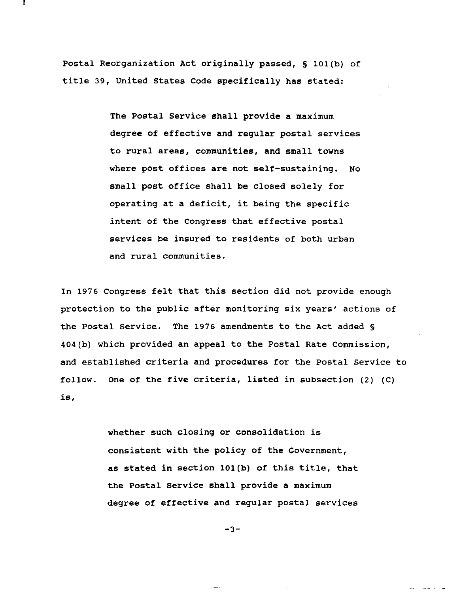Postal Reorganization Act originally passed, § 101(b) of title 39, united states Code specifically has stated:

> The Postal Service shall provide a maximum degree of effective and regular postal services to rural areas, communities, and small towns where post offices are not self-sustaining. No small post office shall be closed solely for operating at <sup>a</sup> deficit, it being the specific intent of the Congress that effective postal services be insured to residents of both urban and rural communities.

In 1976 congress felt that this section did not provide enough protection to the pUblic after monitoring six years' actions of the Postal Service. The 1976 amendments to the Act added § 404(b) which provided an appeal to the Postal Rate Commission, and established criteria and procedures for the Postal Service to follow. One of the five criteria, listed in subsection (2) (C) **is,**

> whether such closing or consolidation is consistent with the policy of the Government, as stated in section 101(b) of this title, that the Postal Service shall provide a maximum degree of effective and regular postal services

> > $-3-$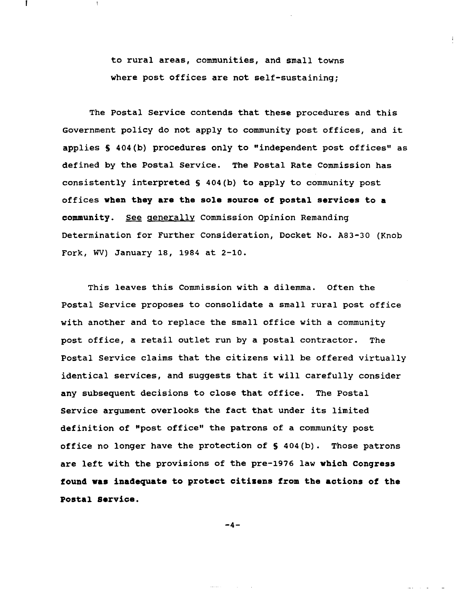to rural areas, communities, and small towns where post offices are not self-sustaining;

The Postal Service contends that these procedures and this Government policy do not apply to community post offices, and it applies S 404(b) procedures only to "independent post offices" as defined by the Postal Service. The Postal Rate Commission has consistently interpreted § 404(b) to apply to community post offices **when they are the sole source of postal services to a community.** See generally Commission Opinion Remanding Determination for Further Consideration, Docket No. A83-30 (Knob Fork, WV) January 18, 1984 at 2-10.

This leaves this commission with a dilemma. Often the Postal Service proposes to consolidate a small rural post office with another and to replace the small office with a community post office, <sup>a</sup> retail outlet run by a postal contractor. The Postal Service claims that the citizens will be offered virtually identical services, and suggests that it will carefully consider any subsequent decisions to close that office. The Postal Service argument overlooks the fact that under its limited definition of "post office" the patrons of a community post office no longer have the protection of § 404(b). Those patrons are left with the provisions of the pre-1976 law **which Congress found was inadequate to protect citizens from the actions of the Postal Service.**

-4-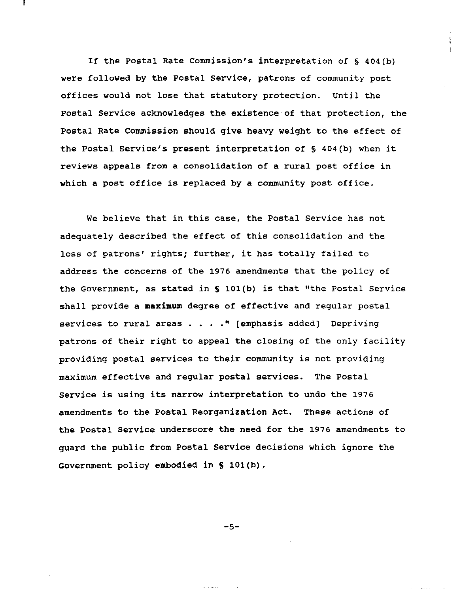If the Postal Rate Commission's interpretation of § 404(b) were followed by the Postal Service, patrons of community post offices would not lose that statutory protection. until the Postal Service acknowledges the existence of that protection, the Postal Rate Commission should give heavy weight to the effect of the Postal Service's present interpretation of § 404(b) when it reviews appeals from <sup>a</sup> consolidation of <sup>a</sup> rural post office in which <sup>a</sup> post office is replaced by <sup>a</sup> community post office.

We believe that in this case, the Postal Service has not adequately described the effect of this consolidation and the loss of patrons' rights; further, it has totally failed to address the concerns of the 1976 amendments that the policy of the Government, as stated in <sup>S</sup> 101(b) is that "the Postal Service shall provide <sup>a</sup> **maximum** degree of effective and regular postal services to rural areas  $\ldots$   $\ldots$  " [emphasis added] Depriving patrons of their right to appeal the closing of the only facility providing postal services to their community is not providing maximum effective and regular postal services. The Postal Service is using its narrow interpretation to undo the <sup>1976</sup> amendments to the Postal Reorganization Act. These actions of the Postal Service underscore the need for the 1976 amendments to guard the pUblic from Postal Service decisions which ignore the Government policy embodied in S 101(b).

-5-